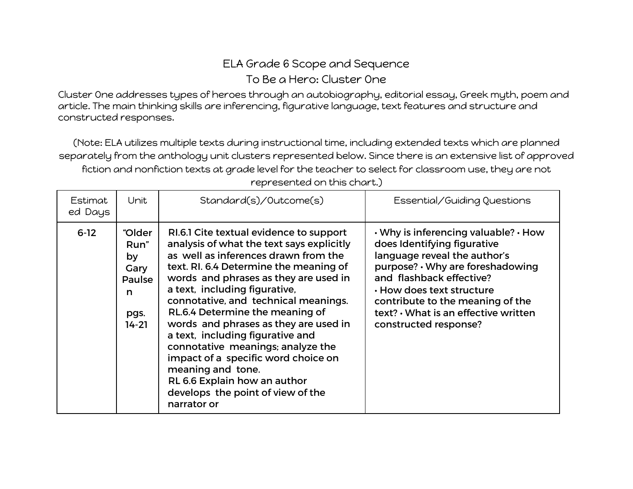## ELA Grade 6 Scope and Sequence To Be a Hero: Cluster One

Cluster One addresses types of heroes through an autobiography, editorial essay, Greek myth, poem and article. The main thinking skills are inferencing, figurative language, text features and structure and constructed responses.

(Note: ELA utilizes multiple texts during instructional time, including extended texts which are planned separately from the anthology unit clusters represented below. Since there is an extensive list of approved fiction and nonfiction texts at grade level for the teacher to select for classroom use, they are not

| Estimat<br>ed Days | Unit                                                                    | Standard(s)/Outcome(s)                                                                                                                                                                                                                                                                                                                                                                                                                                                                                                                                                                        | Essential/Guiding Questions                                                                                                                                                                                                                                                                                 |
|--------------------|-------------------------------------------------------------------------|-----------------------------------------------------------------------------------------------------------------------------------------------------------------------------------------------------------------------------------------------------------------------------------------------------------------------------------------------------------------------------------------------------------------------------------------------------------------------------------------------------------------------------------------------------------------------------------------------|-------------------------------------------------------------------------------------------------------------------------------------------------------------------------------------------------------------------------------------------------------------------------------------------------------------|
| $6 - 12$           | "Older<br>Run"<br>by<br>Gary<br><b>Paulse</b><br>n<br>pgs.<br>$14 - 21$ | RI.6.1 Cite textual evidence to support<br>analysis of what the text says explicitly<br>as well as inferences drawn from the<br>text. RI. 6.4 Determine the meaning of<br>words and phrases as they are used in<br>a text, including figurative,<br>connotative, and technical meanings.<br>RL.6.4 Determine the meaning of<br>words and phrases as they are used in<br>a text, including figurative and<br>connotative meanings; analyze the<br>impact of a specific word choice on<br>meaning and tone.<br>RL 6.6 Explain how an author<br>develops the point of view of the<br>narrator or | . Why is inferencing valuable? . How<br>does Identifying figurative<br>language reveal the author's<br>purpose? · Why are foreshadowing<br>and flashback effective?<br>$\cdot$ How does text structure<br>contribute to the meaning of the<br>text? • What is an effective written<br>constructed response? |

represented on this chart.)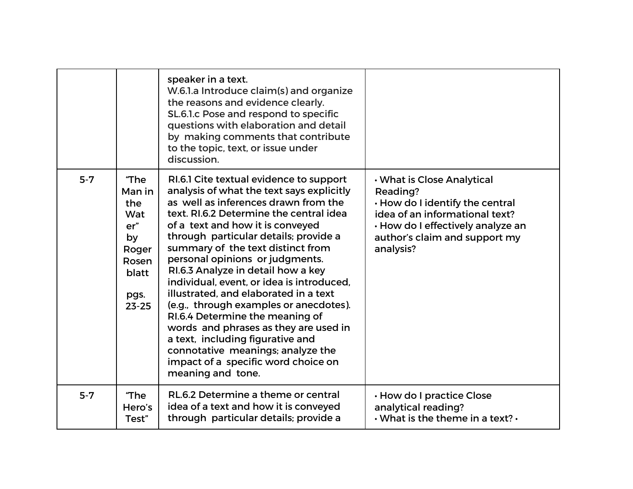|         |                                                                                            | speaker in a text.<br>W.6.1.a Introduce claim(s) and organize<br>the reasons and evidence clearly.<br>SL.6.1.c Pose and respond to specific<br>questions with elaboration and detail<br>by making comments that contribute<br>to the topic, text, or issue under<br>discussion.                                                                                                                                                                                                                                                                                                                                                                                                                                     |                                                                                                                                                                                                |
|---------|--------------------------------------------------------------------------------------------|---------------------------------------------------------------------------------------------------------------------------------------------------------------------------------------------------------------------------------------------------------------------------------------------------------------------------------------------------------------------------------------------------------------------------------------------------------------------------------------------------------------------------------------------------------------------------------------------------------------------------------------------------------------------------------------------------------------------|------------------------------------------------------------------------------------------------------------------------------------------------------------------------------------------------|
| $5 - 7$ | "The<br>Man in<br>the<br>Wat<br>er''<br>by<br>Roger<br>Rosen<br>blatt<br>pgs.<br>$23 - 25$ | RI.6.1 Cite textual evidence to support<br>analysis of what the text says explicitly<br>as well as inferences drawn from the<br>text. RI.6.2 Determine the central idea<br>of a text and how it is conveyed<br>through particular details; provide a<br>summary of the text distinct from<br>personal opinions or judgments.<br>RI.6.3 Analyze in detail how a key<br>individual, event, or idea is introduced,<br>illustrated, and elaborated in a text<br>(e.g., through examples or anecdotes).<br>RI.6.4 Determine the meaning of<br>words and phrases as they are used in<br>a text, including figurative and<br>connotative meanings; analyze the<br>impact of a specific word choice on<br>meaning and tone. | . What is Close Analytical<br>Reading?<br>. How do I identify the central<br>idea of an informational text?<br>· How do I effectively analyze an<br>author's claim and support my<br>analysis? |
| $5 - 7$ | "The<br>Hero's<br>Test"                                                                    | RL.6.2 Determine a theme or central<br>idea of a text and how it is conveyed<br>through particular details; provide a                                                                                                                                                                                                                                                                                                                                                                                                                                                                                                                                                                                               | . How do I practice Close<br>analytical reading?<br>$\cdot$ What is the theme in a text? $\cdot$                                                                                               |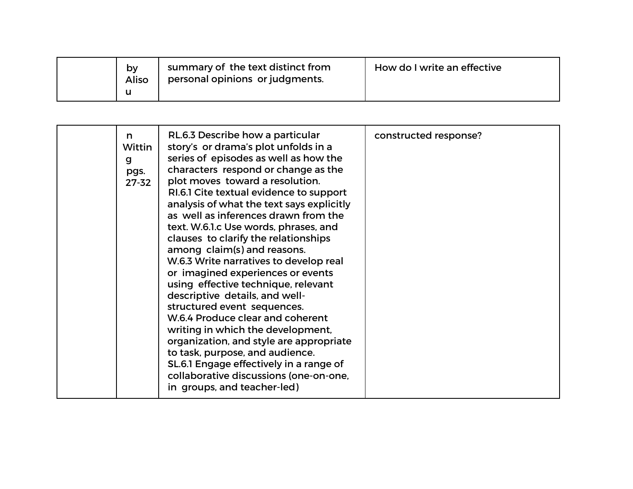| by<br>Aliso<br>u | summary of the text distinct from<br>personal opinions or judgments. | How do I write an effective |
|------------------|----------------------------------------------------------------------|-----------------------------|
|------------------|----------------------------------------------------------------------|-----------------------------|

| n<br>Wittin<br>g<br>pgs.<br>$27 - 32$ | RL.6.3 Describe how a particular<br>story's or drama's plot unfolds in a<br>series of episodes as well as how the<br>characters respond or change as the<br>plot moves toward a resolution.<br>RI.6.1 Cite textual evidence to support<br>analysis of what the text says explicitly<br>as well as inferences drawn from the<br>text. W.6.1.c Use words, phrases, and<br>clauses to clarify the relationships<br>among claim(s) and reasons.<br>W.6.3 Write narratives to develop real<br>or imagined experiences or events<br>using effective technique, relevant<br>descriptive details, and well-<br>structured event sequences.<br>W.6.4 Produce clear and coherent<br>writing in which the development,<br>organization, and style are appropriate<br>to task, purpose, and audience.<br>SL.6.1 Engage effectively in a range of<br>collaborative discussions (one-on-one, | constructed response? |
|---------------------------------------|--------------------------------------------------------------------------------------------------------------------------------------------------------------------------------------------------------------------------------------------------------------------------------------------------------------------------------------------------------------------------------------------------------------------------------------------------------------------------------------------------------------------------------------------------------------------------------------------------------------------------------------------------------------------------------------------------------------------------------------------------------------------------------------------------------------------------------------------------------------------------------|-----------------------|
|                                       | in groups, and teacher-led)                                                                                                                                                                                                                                                                                                                                                                                                                                                                                                                                                                                                                                                                                                                                                                                                                                                    |                       |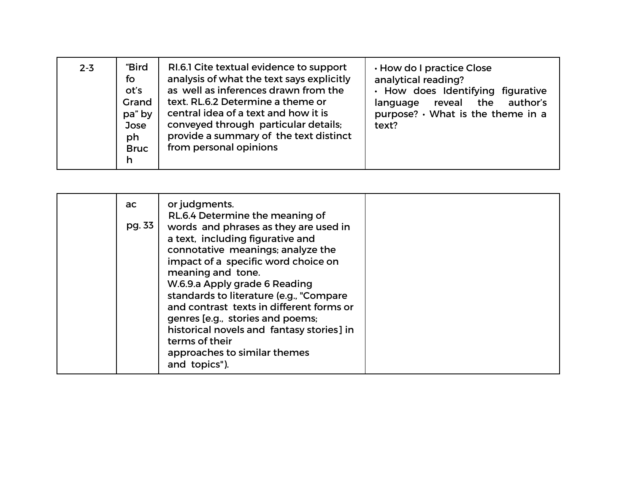| $2 - 3$ | "Bird<br>fo<br>ot's<br>Grand<br>pa" by<br>Jose<br>ph<br><b>Bruc</b><br>h | RI.6.1 Cite textual evidence to support<br>analysis of what the text says explicitly<br>as well as inferences drawn from the<br>text. RL.6.2 Determine a theme or<br>central idea of a text and how it is<br>conveyed through particular details;<br>provide a summary of the text distinct<br>from personal opinions | . How do I practice Close<br>analytical reading?<br>. How does Identifying figurative<br>reveal the author's<br>language<br>purpose? • What is the theme in a<br>text? |
|---------|--------------------------------------------------------------------------|-----------------------------------------------------------------------------------------------------------------------------------------------------------------------------------------------------------------------------------------------------------------------------------------------------------------------|------------------------------------------------------------------------------------------------------------------------------------------------------------------------|
|---------|--------------------------------------------------------------------------|-----------------------------------------------------------------------------------------------------------------------------------------------------------------------------------------------------------------------------------------------------------------------------------------------------------------------|------------------------------------------------------------------------------------------------------------------------------------------------------------------------|

| ac<br>pg. 33 | or judgments.<br>RL.6.4 Determine the meaning of<br>words and phrases as they are used in<br>a text, including figurative and<br>connotative meanings; analyze the<br>impact of a specific word choice on<br>meaning and tone.<br>W.6.9.a Apply grade 6 Reading<br>standards to literature (e.g., "Compare<br>and contrast texts in different forms or<br>genres [e.g., stories and poems;<br>historical novels and fantasy stories] in<br>terms of their<br>approaches to similar themes<br>and topics"). |  |
|--------------|------------------------------------------------------------------------------------------------------------------------------------------------------------------------------------------------------------------------------------------------------------------------------------------------------------------------------------------------------------------------------------------------------------------------------------------------------------------------------------------------------------|--|
|--------------|------------------------------------------------------------------------------------------------------------------------------------------------------------------------------------------------------------------------------------------------------------------------------------------------------------------------------------------------------------------------------------------------------------------------------------------------------------------------------------------------------------|--|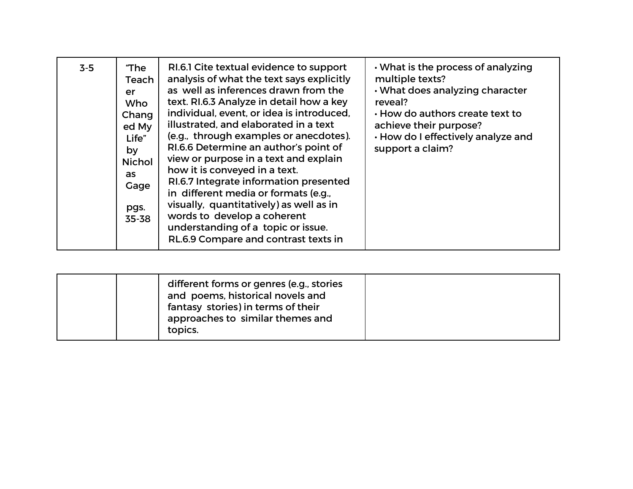| $3-5$ | "The<br>Teach<br>er<br>Who<br>Chang<br>ed My<br>Life"<br>by<br><b>Nichol</b><br>as<br>Gage<br>pgs.<br>35-38 | RI.6.1 Cite textual evidence to support<br>analysis of what the text says explicitly<br>as well as inferences drawn from the<br>text. RI.6.3 Analyze in detail how a key<br>individual, event, or idea is introduced,<br>illustrated, and elaborated in a text<br>(e.g., through examples or anecdotes).<br>RI.6.6 Determine an author's point of<br>view or purpose in a text and explain<br>how it is conveyed in a text.<br>RI.6.7 Integrate information presented<br>in different media or formats (e.g.,<br>visually, quantitatively) as well as in<br>words to develop a coherent<br>understanding of a topic or issue.<br>RL.6.9 Compare and contrast texts in | . What is the process of analyzing<br>multiple texts?<br>. What does analyzing character<br>reveal?<br>. How do authors create text to<br>achieve their purpose?<br>. How do I effectively analyze and<br>support a claim? |
|-------|-------------------------------------------------------------------------------------------------------------|-----------------------------------------------------------------------------------------------------------------------------------------------------------------------------------------------------------------------------------------------------------------------------------------------------------------------------------------------------------------------------------------------------------------------------------------------------------------------------------------------------------------------------------------------------------------------------------------------------------------------------------------------------------------------|----------------------------------------------------------------------------------------------------------------------------------------------------------------------------------------------------------------------------|
|-------|-------------------------------------------------------------------------------------------------------------|-----------------------------------------------------------------------------------------------------------------------------------------------------------------------------------------------------------------------------------------------------------------------------------------------------------------------------------------------------------------------------------------------------------------------------------------------------------------------------------------------------------------------------------------------------------------------------------------------------------------------------------------------------------------------|----------------------------------------------------------------------------------------------------------------------------------------------------------------------------------------------------------------------------|

| different forms or genres (e.g., stories<br>and poems, historical novels and<br>fantasy stories) in terms of their<br>approaches to similar themes and<br>topics. |  |
|-------------------------------------------------------------------------------------------------------------------------------------------------------------------|--|
|-------------------------------------------------------------------------------------------------------------------------------------------------------------------|--|